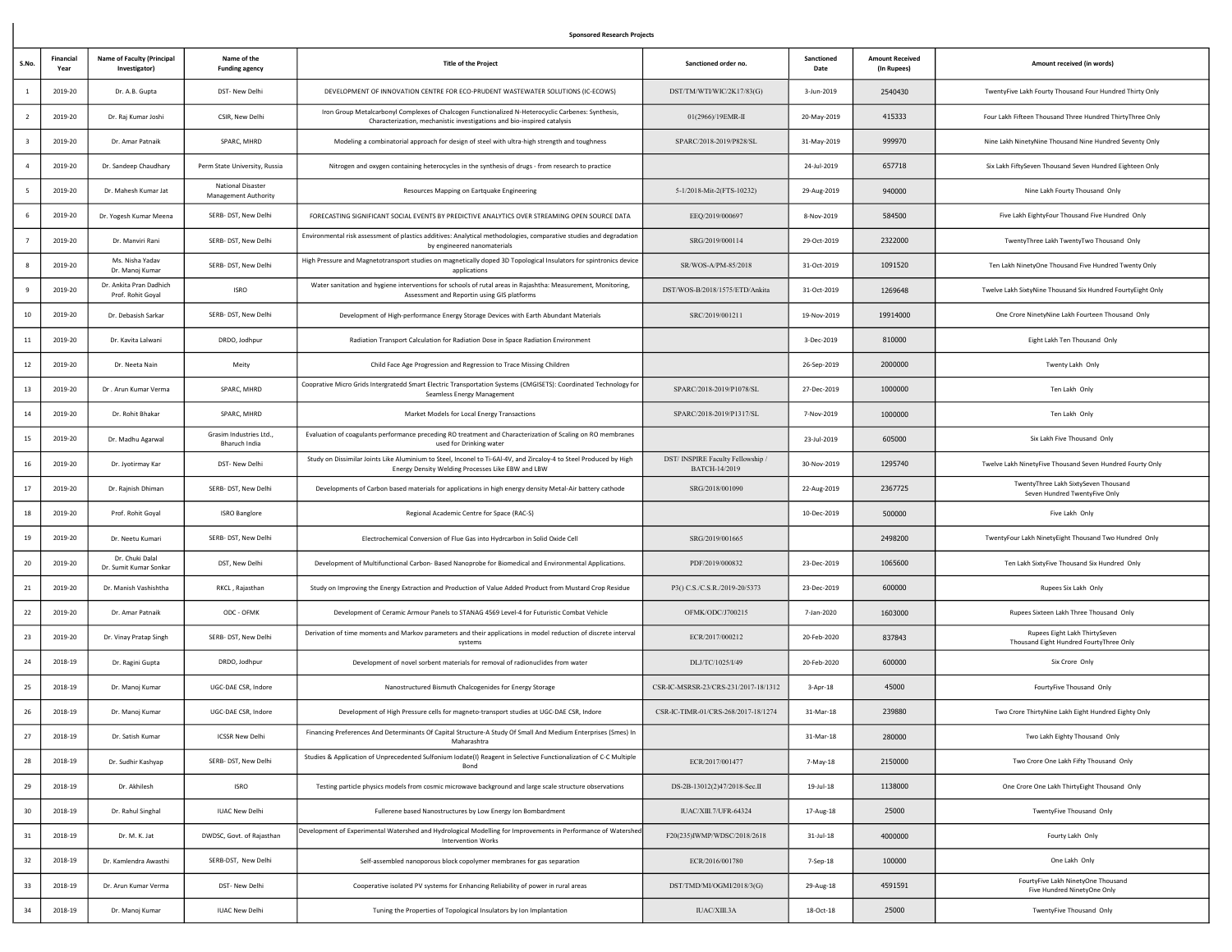## Sponsored Research Projects

| S.No           | Financial<br>Year | <b>Name of Faculty (Principal</b><br>Investigator) | Name of the<br><b>Funding agency</b>             | <b>Title of the Project</b>                                                                                                                                                   | Sanctioned order no.                               | Sanctioned<br>Date | <b>Amount Received</b><br>(In Rupees) | Amount received (in words)                                               |
|----------------|-------------------|----------------------------------------------------|--------------------------------------------------|-------------------------------------------------------------------------------------------------------------------------------------------------------------------------------|----------------------------------------------------|--------------------|---------------------------------------|--------------------------------------------------------------------------|
|                | 2019-20           | Dr. A.B. Gupta                                     | DST- New Delhi                                   | DEVELOPMENT OF INNOVATION CENTRE FOR ECO-PRUDENT WASTEWATER SOLUTIONS (IC-ECOWS)                                                                                              | DST/TM/WTI/WIC/2K17/83(G)                          | 3-Jun-2019         | 2540430                               | TwentyFive Lakh Fourty Thousand Four Hundred Thirty Only                 |
| $\overline{2}$ | 2019-20           | Dr. Raj Kumar Joshi                                | CSIR, New Delhi                                  | Iron Group Metalcarbonyl Complexes of Chalcogen Functionalized N-Heterocyclic Carbenes: Synthesis,<br>Characterization, mechanistic investigations and bio-inspired catalysis | 01(2966)/19EMR-II                                  | 20-May-2019        | 415333                                | Four Lakh Fifteen Thousand Three Hundred ThirtyThree Only                |
|                | 2019-20           | Dr. Amar Patnaik                                   | SPARC, MHRD                                      | Modeling a combinatorial approach for design of steel with ultra-high strength and toughness                                                                                  | SPARC/2018-2019/P828/SL                            | 31-May-2019        | 999970                                | Nine Lakh NinetyNine Thousand Nine Hundred Seventy Only                  |
|                | 2019-20           | Dr. Sandeep Chaudhary                              | Perm State University, Russia                    | Nitrogen and oxygen containing heterocycles in the synthesis of drugs - from research to practice                                                                             |                                                    | 24-Jul-2019        | 657718                                | Six Lakh FiftySeven Thousand Seven Hundred Eighteen Only                 |
|                | 2019-20           | Dr. Mahesh Kumar Jat                               | <b>National Disaster</b><br>Management Authority | Resources Mapping on Eartquake Engineering                                                                                                                                    | 5-1/2018-Mit-2(FTS-10232)                          | 29-Aug-2019        | 940000                                | Nine Lakh Fourty Thousand Only                                           |
|                | 2019-20           | Dr. Yogesh Kumar Meena                             | SERB- DST, New Delhi                             | FORECASTING SIGNIFICANT SOCIAL EVENTS BY PREDICTIVE ANALYTICS OVER STREAMING OPEN SOURCE DATA                                                                                 | EEQ/2019/000697                                    | 8-Nov-2019         | 584500                                | Five Lakh EightyFour Thousand Five Hundred Only                          |
|                | 2019-20           | Dr. Manviri Rani                                   | SERB- DST, New Delhi                             | Environmental risk assessment of plastics additives: Analytical methodologies, comparative studies and degradation<br>by engineered nanomaterials                             | SRG/2019/000114                                    | 29-Oct-2019        | 2322000                               | TwentyThree Lakh TwentyTwo Thousand Only                                 |
|                | 2019-20           | Ms. Nisha Yadav<br>Dr. Manoj Kumar                 | SERB- DST, New Delhi                             | High Pressure and Magnetotransport studies on magnetically doped 3D Topological Insulators for spintronics device<br>applications                                             | SR/WOS-A/PM-85/2018                                | 31-Oct-2019        | 1091520                               | Ten Lakh NinetyOne Thousand Five Hundred Twenty Only                     |
|                | 2019-20           | Dr. Ankita Pran Dadhich<br>Prof. Rohit Goyal       | <b>ISRO</b>                                      | Water sanitation and hygiene interventions for schools of rutal areas in Rajashtha: Measurement, Monitoring,<br>Assessment and Reportin using GIS platforms                   | DST/WOS-B/2018/1575/ETD/Ankita                     | 31-Oct-2019        | 1269648                               | Twelve Lakh SixtyNine Thousand Six Hundred FourtyEight Only              |
| 10             | 2019-20           | Dr. Debasish Sarkar                                | SERB- DST, New Delhi                             | Development of High-performance Energy Storage Devices with Earth Abundant Materials                                                                                          | SRC/2019/001211                                    | 19-Nov-2019        | 19914000                              | One Crore NinetyNine Lakh Fourteen Thousand Only                         |
| 11             | 2019-20           | Dr. Kavita Lalwani                                 | DRDO, Jodhpur                                    | Radiation Transport Calculation for Radiation Dose in Space Radiation Environment                                                                                             |                                                    | 3-Dec-2019         | 810000                                | Eight Lakh Ten Thousand Only                                             |
| 12             | 2019-20           | Dr. Neeta Nain                                     | Meity                                            | Child Face Age Progression and Regression to Trace Missing Children                                                                                                           |                                                    | 26-Sep-2019        | 2000000                               | Twenty Lakh Only                                                         |
| 13             | 2019-20           | Dr. Arun Kumar Verma                               | SPARC, MHRD                                      | Cooprative Micro Grids Intergratedd Smart Electric Transportation Systems (CMGISETS): Coordinated Technology for<br>Seamless Energy Management                                | SPARC/2018-2019/P1078/SL                           | 27-Dec-2019        | 1000000                               | Ten Lakh Only                                                            |
| 14             | 2019-20           | Dr. Rohit Bhakar                                   | SPARC, MHRD                                      | Market Models for Local Energy Transactions                                                                                                                                   | SPARC/2018-2019/P1317/SL                           | 7-Nov-2019         | 1000000                               | Ten Lakh Only                                                            |
| 15             | 2019-20           | Dr. Madhu Agarwal                                  | Grasim Industries Ltd.,<br>Bharuch India         | Evaluation of coagulants performance preceding RO treatment and Characterization of Scaling on RO membranes<br>used for Drinking water                                        |                                                    | 23-Jul-2019        | 605000                                | Six Lakh Five Thousand Only                                              |
| 16             | 2019-20           | Dr. Jyotirmay Kar                                  | DST- New Delhi                                   | Study on Dissimilar Joints Like Aluminium to Steel, Inconel to Ti-6Al-4V, and Zircaloy-4 to Steel Produced by High<br>Energy Density Welding Processes Like EBW and LBW       | DST/ INSPIRE Faculty Fellowship /<br>BATCH-14/2019 | 30-Nov-2019        | 1295740                               | Twelve Lakh NinetyFive Thousand Seven Hundred Fourty Only                |
| 17             | 2019-20           | Dr. Rajnish Dhiman                                 | SERB- DST, New Delhi                             | Developments of Carbon based materials for applications in high energy density Metal-Air battery cathode                                                                      | SRG/2018/001090                                    | 22-Aug-2019        | 2367725                               | TwentyThree Lakh SixtySeven Thousand<br>Seven Hundred TwentyFive Only    |
| 18             | 2019-20           | Prof. Rohit Goyal                                  | <b>ISRO Banglore</b>                             | Regional Academic Centre for Space (RAC-S)                                                                                                                                    |                                                    | 10-Dec-2019        | 500000                                | Five Lakh Only                                                           |
| 19             | 2019-20           | Dr. Neetu Kumari                                   | SERB- DST, New Delhi                             | Electrochemical Conversion of Flue Gas into Hydrcarbon in Solid Oxide Cell                                                                                                    | SRG/2019/001665                                    |                    | 2498200                               | TwentyFour Lakh NinetyEight Thousand Two Hundred Only                    |
| 20             | 2019-20           | Dr. Chuki Dalal<br>Dr. Sumit Kumar Sonkar          | DST, New Delhi                                   | Development of Multifunctional Carbon- Based Nanoprobe for Biomedical and Environmental Applications.                                                                         | PDF/2019/000832                                    | 23-Dec-2019        | 1065600                               | Ten Lakh SixtyFive Thousand Six Hundred Only                             |
| 21             | 2019-20           | Dr. Manish Vashishtha                              | RKCL, Rajasthan                                  | Study on Improving the Energy Extraction and Production of Value Added Product from Mustard Crop Residue                                                                      | P3() C.S./C.S.R./2019-20/5373                      | 23-Dec-2019        | 600000                                | Rupees Six Lakh Only                                                     |
| 22             | 2019-20           | Dr. Amar Patnaik                                   | ODC - OFMK                                       | Development of Ceramic Armour Panels to STANAG 4569 Level-4 for Futuristic Combat Vehicle                                                                                     | OFMK/ODC/J700215                                   | 7-Jan-2020         | 1603000                               | Rupees Sixteen Lakh Three Thousand Only                                  |
| 23             | 2019-20           | Dr. Vinay Pratap Singh                             | SERB- DST, New Delhi                             | Derivation of time moments and Markov parameters and their applications in model reduction of discrete interval<br>systems                                                    | ECR/2017/000212                                    | 20-Feb-2020        | 837843                                | Rupees Eight Lakh ThirtySeven<br>Thousand Eight Hundred FourtyThree Only |
| 24             | 2018-19           | Dr. Ragini Gupta                                   | DRDO, Jodhpur                                    | Development of novel sorbent materials for removal of radionuclides from water                                                                                                | DLJ/TC/1025/I/49                                   | 20-Feb-2020        | 600000                                | Six Crore Only                                                           |
| 25             | 2018-19           | Dr. Manoj Kumar                                    | UGC-DAE CSR. Indore                              | Nanostructured Bismuth Chalcogenides for Energy Storage                                                                                                                       | CSR-IC-MSRSR-23/CRS-231/2017-18/1312               | $3-Apr-18$         | 45000                                 | FourtyFive Thousand Only                                                 |
| 26             | 2018-19           | Dr. Manoj Kumar                                    | UGC-DAE CSR, Indore                              | Development of High Pressure cells for magneto-transport studies at UGC-DAE CSR, Indore                                                                                       | CSR-IC-TIMR-01/CRS-268/2017-18/1274                | 31-Mar-18          | 239880                                | Two Crore ThirtyNine Lakh Eight Hundred Eighty Only                      |
| 27             | 2018-19           | Dr. Satish Kumar                                   | <b>ICSSR New Delhi</b>                           | Financing Preferences And Determinants Of Capital Structure-A Study Of Small And Medium Enterprises (Smes) In<br>Maharashtra                                                  |                                                    | 31-Mar-18          | 280000                                | Two Lakh Eighty Thousand Only                                            |
| 28             | 2018-19           | Dr. Sudhir Kashyap                                 | SERB- DST, New Delhi                             | Studies & Application of Unprecedented Sulfonium Iodate(I) Reagent in Selective Functionalization of C-C Multiple<br>Bond                                                     | ECR/2017/001477                                    | 7-May-18           | 2150000                               | Two Crore One Lakh Fifty Thousand Only                                   |
| 29             | 2018-19           | Dr. Akhilesh                                       | <b>ISRO</b>                                      | Testing particle physics models from cosmic microwave background and large scale structure observations                                                                       | DS-2B-13012(2)47/2018-Sec.II                       | 19-Jul-18          | 1138000                               | One Crore One Lakh ThirtyEight Thousand Only                             |
| $30\,$         | 2018-19           | Dr. Rahul Singhal                                  | <b>IUAC New Delhi</b>                            | Fullerene based Nanostructures by Low Energy Ion Bombardment                                                                                                                  | IUAC/XIII.7/UFR-64324                              | 17-Aug-18          | 25000                                 | TwentyFive Thousand Only                                                 |
| 31             | 2018-19           | Dr. M. K. Jat                                      | DWDSC, Govt. of Rajasthan                        | Development of Experimental Watershed and Hydrological Modelling for Improvements in Performance of Watershed<br><b>Intervention Works</b>                                    | F20(235)IWMP/WDSC/2018/2618                        | $31$ -Jul-18       | 4000000                               | Fourty Lakh Only                                                         |
| 32             | 2018-19           | Dr. Kamlendra Awasthi                              | SERB-DST, New Delhi                              | Self-assembled nanoporous block copolymer membranes for gas separation                                                                                                        | ECR/2016/001780                                    | 7-Sep-18           | 100000                                | One Lakh Only                                                            |
| 33             | 2018-19           | Dr. Arun Kumar Verma                               | DST- New Delhi                                   | Cooperative isolated PV systems for Enhancing Reliability of power in rural areas                                                                                             | DST/TMD/MI/OGMI/2018/3(G)                          | 29-Aug-18          | 4591591                               | FourtyFive Lakh NinetyOne Thousand<br>Five Hundred NinetyOne Only        |
| 34             | 2018-19           | Dr. Manoj Kumar                                    | <b>IUAC New Delhi</b>                            | Tuning the Properties of Topological Insulators by Ion Implantation                                                                                                           | IUAC/XIII.3A                                       | 18-Oct-18          | 25000                                 | TwentyFive Thousand Only                                                 |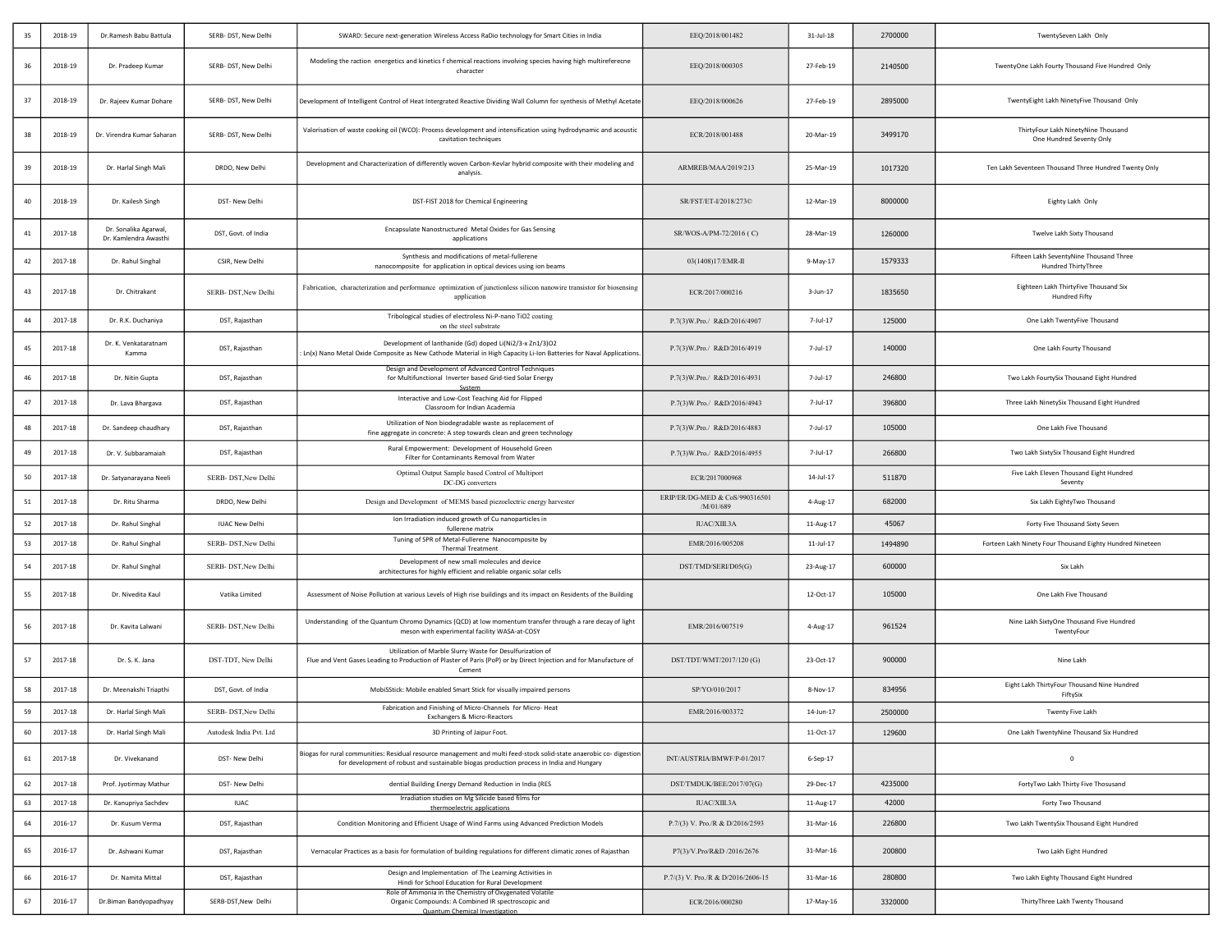| 35 | 2018-19 | Dr.Ramesh Babu Battula                         | SERB- DST, New Delhi    | SWARD: Secure next-generation Wireless Access RaDio technology for Smart Cities in India                                                                                                                        | EEQ/2018/001482                             | $31$ -Jul-18 | 2700000 | TwentySeven Lakh Only                                           |
|----|---------|------------------------------------------------|-------------------------|-----------------------------------------------------------------------------------------------------------------------------------------------------------------------------------------------------------------|---------------------------------------------|--------------|---------|-----------------------------------------------------------------|
| 36 | 2018-19 | Dr. Pradeep Kumar                              | SERB- DST, New Delhi    | Modeling the raction energetics and kinetics f chemical reactions involving species having high multireferecne<br>character                                                                                     | EEQ/2018/000305                             | 27-Feb-19    | 2140500 | TwentyOne Lakh Fourty Thousand Five Hundred Only                |
| 37 | 2018-19 | Dr. Rajeev Kumar Dohare                        | SERB- DST, New Delhi    | Development of Intelligent Control of Heat Intergrated Reactive Dividing Wall Column for synthesis of Methyl Acetate                                                                                            | EEQ/2018/000626                             | 27-Feb-19    | 2895000 | TwentyEight Lakh NinetyFive Thousand Only                       |
| 38 | 2018-19 | Dr. Virendra Kumar Saharan                     | SERB- DST, New Delhi    | Valorisation of waste cooking oil (WCO): Process development and intensification using hydrodynamic and acoustic<br>cavitation techniques                                                                       | ECR/2018/001488                             | 20-Mar-19    | 3499170 | ThirtyFour Lakh NinetyNine Thousand<br>One Hundred Seventy Only |
| 39 | 2018-19 | Dr. Harlal Singh Mali                          | DRDO, New Delhi         | Development and Characterization of differently woven Carbon-Kevlar hybrid composite with their modeling and<br>analysis.                                                                                       | ARMREB/MAA/2019/213                         | 25-Mar-19    | 1017320 | Ten Lakh Seventeen Thousand Three Hundred Twenty Only           |
| 40 | 2018-19 | Dr. Kailesh Singh                              | DST- New Delhi          | DST-FIST 2018 for Chemical Engineering                                                                                                                                                                          | SR/FST/ET-I/2018/273©                       | 12-Mar-19    | 8000000 | Eighty Lakh Only                                                |
| 41 | 2017-18 | Dr. Sonalika Agarwal,<br>Dr. Kamlendra Awasthi | DST, Govt. of India     | Encapsulate Nanostructured Metal Oxides for Gas Sensing<br>applications                                                                                                                                         | SR/WOS-A/PM-72/2016 (C)                     | 28-Mar-19    | 1260000 | Twelve Lakh Sixty Thousand                                      |
| 42 | 2017-18 | Dr. Rahul Singhal                              | CSIR, New Delhi         | Synthesis and modifications of metal-fullerene<br>nanocomposite for application in optical devices using ion beams                                                                                              | 03(1408)17/EMR-II                           | 9-May-17     | 1579333 | Fifteen Lakh SeventyNine Thousand Three<br>Hundred ThirtyThree  |
| 43 | 2017-18 | Dr. Chitrakant                                 | SERB- DST, New Delhi    | Fabrication, characterization and performance optimization of junctionless silicon nanowire transistor for biosensing<br>application                                                                            | ECR/2017/000216                             | $3 - Jun-17$ | 1835650 | Eighteen Lakh ThirtyFive Thousand Six<br>Hundred Fifty          |
| 44 | 2017-18 | Dr. R.K. Duchaniya                             | DST, Rajasthan          | Tribological studies of electroless Ni-P-nano TiO2 coating<br>on the steel substrate                                                                                                                            | P.7(3)W.Pro./ R&D/2016/4907                 | 7-Jul-17     | 125000  | One Lakh TwentyFive Thousand                                    |
| 45 | 2017-18 | Dr. K. Venkataratnam<br>Kamma                  | DST, Rajasthan          | Development of lanthanide (Gd) doped Li(Ni2/3-x Zn1/3)O2<br>Ln(x) Nano Metal Oxide Composite as New Cathode Material in High Capacity Li-Ion Batteries for Naval Applications                                   | P.7(3)W.Pro./ R&D/2016/4919                 | 7-Jul-17     | 140000  | One Lakh Fourty Thousand                                        |
| 46 | 2017-18 | Dr. Nitin Gupta                                | DST, Rajasthan          | Design and Development of Advanced Control Techniques<br>for Multifunctional Inverter based Grid-tied Solar Energy                                                                                              | P.7(3)W.Pro./ R&D/2016/4931                 | 7-Jul-17     | 246800  | Two Lakh FourtySix Thousand Eight Hundred                       |
| 47 | 2017-18 | Dr. Lava Bhargava                              | DST, Rajasthan          | Interactive and Low-Cost Teaching Aid for Flipped<br>Classroom for Indian Academia                                                                                                                              | P.7(3)W.Pro./ R&D/2016/4943                 | 7-Jul-17     | 396800  | Three Lakh NinetySix Thousand Eight Hundred                     |
| 48 | 2017-18 | Dr. Sandeep chaudhary                          | DST, Rajasthan          | Utilization of Non biodegradable waste as replacement of<br>fine aggregate in concrete: A step towards clean and green technology                                                                               | P.7(3)W.Pro./ R&D/2016/4883                 | 7-Jul-17     | 105000  | One Lakh Five Thousand                                          |
| 49 | 2017-18 | Dr. V. Subbaramaiah                            | DST, Rajasthan          | Rural Empowerment: Development of Household Green<br>Filter for Contaminants Removal from Water                                                                                                                 | P.7(3)W.Pro./ R&D/2016/4955                 | 7-Jul-17     | 266800  | Two Lakh SixtySix Thousand Eight Hundred                        |
| 50 | 2017-18 | Dr. Satyanarayana Neeli                        | SERB- DST, New Delhi    | Optimal Output Sample based Control of Multiport<br>DC-DG converters                                                                                                                                            | ECR/2017000968                              | 14-Jul-17    | 511870  | Five Lakh Eleven Thousand Eight Hundred<br>Seventy              |
| 51 | 2017-18 | Dr. Ritu Sharma                                | DRDO, New Delhi         | Design and Development of MEMS based piezoelectric energy harvester                                                                                                                                             | ERIP/ER/DG-MED & CoS/990316501<br>/M/01/689 | 4-Aug-17     | 682000  | Six Lakh EightyTwo Thousand                                     |
| 52 | 2017-18 | Dr. Rahul Singhal                              | <b>IUAC New Delhi</b>   | Ion Irradiation induced growth of Cu nanoparticles in<br>fullerene matrix                                                                                                                                       | IUAC/XIII.3A                                | 11-Aug-17    | 45067   | Forty Five Thousand Sixty Seven                                 |
| 53 | 2017-18 | Dr. Rahul Singhal                              | SERB- DST, New Delhi    | Tuning of SPR of Metal-Fullerene Nanocomposite by<br><b>Thermal Treatment</b>                                                                                                                                   | EMR/2016/005208                             | 11-Jul-17    | 1494890 | Forteen Lakh Ninety Four Thousand Eighty Hundred Nineteen       |
| 54 | 2017-18 | Dr. Rahul Singhal                              | SERB- DST, New Delhi    | Development of new small molecules and device<br>architectures for highly efficient and reliable organic solar cells                                                                                            | DST/TMD/SERI/D05(G)                         | 23-Aug-17    | 600000  | Six Lakh                                                        |
| 55 | 2017-18 | Dr. Nivedita Kaul                              | Vatika Limited          | Assessment of Noise Pollution at various Levels of High rise buildings and its impact on Residents of the Building                                                                                              |                                             | 12-Oct-17    | 105000  | One Lakh Five Thousand                                          |
| 56 | 2017-18 | Dr. Kavita Lalwani                             | SERB- DST, New Delhi    | Understanding of the Quantum Chromo Dynamics (QCD) at low momentum transfer through a rare decay of light<br>meson with experimental facility WASA-at-COSY                                                      | EMR/2016/007519                             | 4-Aug-17     | 961524  | Nine Lakh SixtyOne Thousand Five Hundred<br>TwentyFour          |
| 57 | 2017-18 | Dr. S. K. Jana                                 | DST-TDT, New Delhi      | Utilization of Marble Slurry Waste for Desulfurization of<br>Flue and Vent Gases Leading to Production of Plaster of Paris (PoP) or by Direct Injection and for Manufacture of<br>Cement                        | DST/TDT/WMT/2017/120 (G)                    | 23-Oct-17    | 900000  | Nine Lakh                                                       |
| 58 | 2017-18 | Dr. Meenakshi Triapthi                         | DST, Govt. of India     | MobiSStick: Mobile enabled Smart Stick for visually impaired persons                                                                                                                                            | SP/YO/010/2017                              | 8-Nov-17     | 834956  | Eight Lakh ThirtyFour Thousand Nine Hundred<br>FiftySix         |
| 59 | 2017-18 | Dr. Harlal Singh Mali                          | SERB- DST, New Delhi    | Fabrication and Finishing of Micro-Channels for Micro-Heat<br>Exchangers & Micro-Reactors                                                                                                                       | EMR/2016/003372                             | 14-Jun-17    | 2500000 | Twenty Five Lakh                                                |
| 60 | 2017-18 | Dr. Harlal Singh Mali                          | Autodesk India Pvt. Ltd | 3D Printing of Jaipur Foot.                                                                                                                                                                                     |                                             | 11-Oct-17    | 129600  | One Lakh TwentyNine Thousand Six Hundred                        |
| 61 | 2017-18 | Dr. Vivekanand                                 | DST- New Delhi          | Biogas for rural communities: Residual resource management and multi feed-stock solid-state anaerobic co- digestion<br>for development of robust and sustainable biogas production process in India and Hungary | INT/AUSTRIA/BMWF/P-01/2017                  | 6-Sep-17     |         | $^{\circ}$                                                      |
| 62 | 2017-18 | Prof. Jyotirmay Mathur                         | DST- New Delhi          | dential Building Energy Demand Reduction in India (RES                                                                                                                                                          | DST/TMDUK/BEE/2017/07(G)                    | 29-Dec-17    | 4235000 | FortyTwo Lakh Thirty Five Thosusand                             |
| 63 | 2017-18 | Dr. Kanupriya Sachdev                          | <b>IUAC</b>             | Irradiation studies on Mg Silicide based films for<br>thermoelectric applications                                                                                                                               | IUAC/XIII.3A                                | 11-Aug-17    | 42000   | Forty Two Thousand                                              |
| 64 | 2016-17 | Dr. Kusum Verma                                | DST, Rajasthan          | Condition Monitoring and Efficient Usage of Wind Farms using Advanced Prediction Models                                                                                                                         | P.7/(3) V. Pro./R & D/2016/2593             | 31-Mar-16    | 226800  | Two Lakh TwentySix Thousand Eight Hundred                       |
| 65 | 2016-17 | Dr. Ashwani Kumar                              | DST, Rajasthan          | Vernacular Practices as a basis for formulation of building regulations for different climatic zones of Rajasthan                                                                                               | P7(3)/V.Pro/R&D /2016/2676                  | 31-Mar-16    | 200800  | Two Lakh Eight Hundred                                          |
| 66 | 2016-17 | Dr. Namita Mittal                              | DST, Rajasthan          | Design and Implementation of The Learning Activities in<br>Hindi for School Education for Rural Development                                                                                                     | P.7/(3) V. Pro./R & D/2016/2606-15          | 31-Mar-16    | 280800  | Two Lakh Eighty Thousand Eight Hundred                          |
| 67 | 2016-17 | Dr.Biman Bandyopadhyay                         | SERB-DST, New Delhi     | Role of Ammonia in the Chemistry of Oxygenated Volatile<br>Organic Compounds: A Combined IR spectroscopic and<br>Quantum Chemical Investigation                                                                 | ECR/2016/000280                             | 17-May-16    | 3320000 | ThirtyThree Lakh Twenty Thousand                                |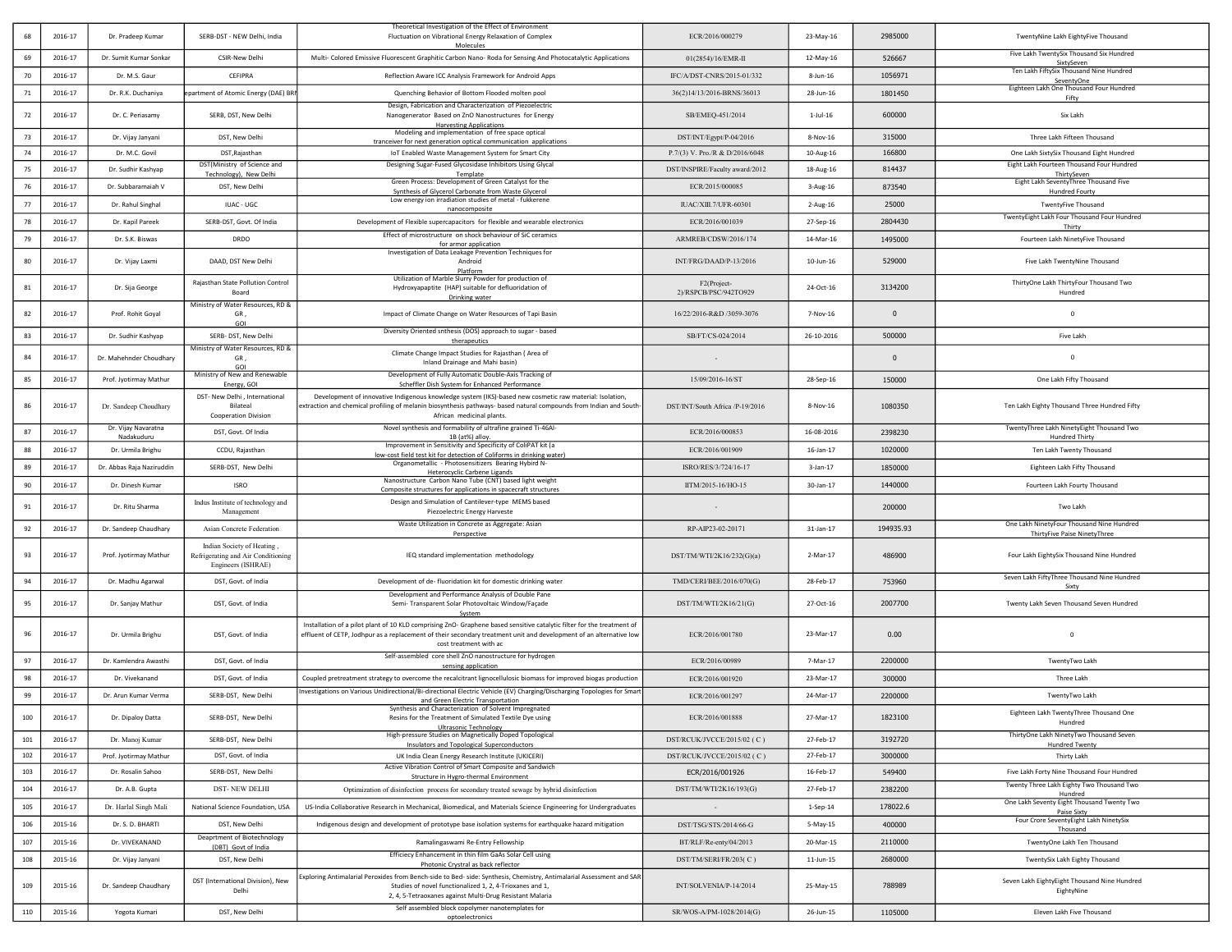|            | 2016-17            | Dr. Pradeep Kumar                          | SERB-DST - NEW Delhi, India                                                            | Theoretical Investigation of the Effect of Environment<br>Fluctuation on Vibrational Energy Relaxation of Complex                                                                                                                                                      | ECR/2016/000279                                 | 23-May-16              | 2985000           | TwentyNine Lakh EightyFive Thousand                                                          |
|------------|--------------------|--------------------------------------------|----------------------------------------------------------------------------------------|------------------------------------------------------------------------------------------------------------------------------------------------------------------------------------------------------------------------------------------------------------------------|-------------------------------------------------|------------------------|-------------------|----------------------------------------------------------------------------------------------|
| 69         | 2016-17            | Dr. Sumit Kumar Sonkar                     | CSIR-New Delhi                                                                         | Molecules<br>Multi- Colored Emissive Fluorescent Graphitic Carbon Nano- Roda for Sensing And Photocatalytic Applications                                                                                                                                               | 01(2854)/16/EMR-II                              | 12-May-16              | 526667            | Five Lakh TwentySix Thousand Six Hundred                                                     |
| 70         | 2016-17            | Dr. M.S. Gaur                              | CEFIPRA                                                                                | Reflection Aware ICC Analysis Framework for Android Apps                                                                                                                                                                                                               | IFC/A/DST-CNRS/2015-01/332                      | 8-Jun-16               | 1056971           | SixtySeven<br>Ten Lakh FiftySix Thousand Nine Hundred                                        |
| 71         | 2016-17            | Dr. R.K. Duchaniya                         | epartment of Atomic Energy (DAE) BRI                                                   | Quenching Behavior of Bottom Flooded molten pool                                                                                                                                                                                                                       | 36(2)14/13/2016-BRNS/36013                      | 28-Jun-16              | 1801450           | SeventyOne<br>Eighteen Lakh One Thousand Four Hundred<br>Fifty                               |
| 72         | 2016-17            | Dr. C. Periasamy                           | SERB, DST, New Delhi                                                                   | Design, Fabrication and Characterization of Piezoelectric<br>Nanogenerator Based on ZnO Nanostructures for Energy                                                                                                                                                      | SB/EMEQ-451/2014                                | $1$ -Jul- $16$         | 600000            | Six Lakh                                                                                     |
| 73         | 2016-17            | Dr. Vijay Janyani                          | DST, New Delhi                                                                         | <b>Harvesting Applications</b><br>Modeling and implementation of free space optical                                                                                                                                                                                    | DST/INT/Egypt/P-04/2016                         | 8-Nov-16               | 315000            | Three Lakh Fifteen Thousand                                                                  |
| 74         | 2016-17            | Dr. M.C. Govil                             | DST, Rajasthan                                                                         | tranceiver for next generation optical communication applications<br>IoT Enabled Waste Management System for Smart City                                                                                                                                                | P.7/(3) V. Pro./R & D/2016/6048                 | 10-Aug-16              | 166800            | One Lakh SixtySix Thousand Eight Hundred                                                     |
| 75         | 2016-17            | Dr. Sudhir Kashyap                         | DST(Ministry of Science and                                                            | Designing Sugar-Fused Glycosidase Inhibitors Using Glycal                                                                                                                                                                                                              | DST/INSPIRE/Faculty award/2012                  | 18-Aug-16              | 814437            | Eight Lakh Fourteen Thousand Four Hundred                                                    |
|            | 2016-17            | Dr. Subbaramaiah V                         | Technology), New Delhi<br>DST. New Delhi                                               | Template<br>Green Process: Development of Green Catalyst for the                                                                                                                                                                                                       | ECR/2015/000085                                 |                        | 873540            | ThirtySeven<br>Eight Lakh SeventyThree Thousand Five                                         |
| 76         |                    |                                            |                                                                                        | Synthesis of Glycerol Carbonate from Waste Glycerol<br>Low energy ion irradiation studies of metal - fukkerene                                                                                                                                                         |                                                 | $3-Aug-16$             |                   | Hundred Fourty                                                                               |
| 77         | 2016-17            | Dr. Rahul Singhal                          | <b>IUAC - UGC</b>                                                                      | nanocomposite                                                                                                                                                                                                                                                          | IUAC/XIII.7/UFR-60301                           | 2-Aug-16               | 25000             | <b>TwentyFive Thousand</b><br>TwentyEight Lakh Four Thousand Four Hundred                    |
| 78         | 2016-17            | Dr. Kapil Pareek                           | SERB-DST, Govt. Of India                                                               | Development of Flexible supercapacitors for flexible and wearable electronics                                                                                                                                                                                          | ECR/2016/001039                                 | 27-Sep-16              | 2804430           | Thirty                                                                                       |
| 79         | 2016-17            | Dr. S.K. Biswas                            | DRDO                                                                                   | Effect of microstructure on shock behaviour of SiC ceramics<br>for armor application                                                                                                                                                                                   | ARMREB/CDSW/2016/174                            | 14-Mar-16              | 1495000           | Fourteen Lakh NinetyFive Thousand                                                            |
| 80         | 2016-17            | Dr. Vijay Laxmi                            | DAAD, DST New Delhi                                                                    | Investigation of Data Leakage Prevention Techniques for<br>Android<br>Platform                                                                                                                                                                                         | INT/FRG/DAAD/P-13/2016                          | $10$ -Jun- $16$        | 529000            | Five Lakh TwentyNine Thousand                                                                |
| 81         | 2016-17            | Dr. Sija George                            | Rajasthan State Pollution Control                                                      | Utilization of Marble Slurry Powder for production of<br>Hydroxyapaptite (HAP) suitable for defluoridation of                                                                                                                                                          | F2(Project-                                     | 24-Oct-16              | 3134200           | ThirtyOne Lakh ThirtyFour Thousand Two                                                       |
|            |                    |                                            | Board<br>Ministry of Water Resources, RD &                                             | Drinking water                                                                                                                                                                                                                                                         | 2)/RSPCB/PSC/942TO929                           |                        |                   | Hundred                                                                                      |
| 82         | 2016-17            | Prof. Rohit Goyal                          | GR,<br>GOI                                                                             | Impact of Climate Change on Water Resources of Tapi Basin                                                                                                                                                                                                              | 16/22/2016-R&D /3059-3076                       | 7-Nov-16               | $\mathbf{0}$      | $\overline{0}$                                                                               |
| 83         | 2016-17            | Dr. Sudhir Kashvap                         | SERB- DST, New Delhi                                                                   | Diversity Oriented snthesis (DOS) approach to sugar - based<br>therapeutics                                                                                                                                                                                            | SB/FT/CS-024/2014                               | 26-10-2016             | 500000            | Five Lakh                                                                                    |
| 84         | 2016-17            | Dr. Mahehnder Choudhary                    | Ministry of Water Resources, RD &<br>GR,<br>GOI                                        | Climate Change Impact Studies for Rajasthan ( Area of<br>Inland Drainage and Mahi basin)                                                                                                                                                                               |                                                 |                        | $\mathbf{0}$      | $\mathbf{0}$                                                                                 |
| 85         | 2016-17            | Prof. Jyotirmay Mathur                     | Ministry of New and Renewable<br>Energy, GOI                                           | Development of Fully Automatic Double-Axis Tracking of<br>Scheffler Dish System for Enhanced Performance                                                                                                                                                               | 15/09/2016-16/ST                                | 28-Sep-16              | 150000            | One Lakh Fifty Thousand                                                                      |
| 86         | 2016-17            | Dr. Sandeep Choudhary                      | DST- New Delhi , International<br>Bilateal                                             | Development of innovative Indigenous knowledge system (IKS)-based new cosmetic raw material: Isolation,<br>extraction and chemical profiling of melanin biosynthesis pathways-based natural compounds from Indian and South-                                           | DST/INT/South Africa /P-19/2016                 | $8-Nov-16$             | 1080350           | Ten Lakh Eighty Thousand Three Hundred Fifty                                                 |
|            |                    | Dr. Vijay Navaratna                        | <b>Cooperation Division</b>                                                            | African medicinal plants.<br>Novel synthesis and formability of ultrafine grained Ti-46Al-                                                                                                                                                                             |                                                 |                        |                   | TwentyThree Lakh NinetyEight Thousand Two                                                    |
| 87         | 2016-17            | Nadakuduru                                 | DST, Govt. Of India                                                                    | 1B (at%) alloy.<br>Improvement in Sensitivity and Specificity of ColiPAT kit (a                                                                                                                                                                                        | ECR/2016/000853                                 | 16-08-2016             | 2398230           | <b>Hundred Thirty</b>                                                                        |
| 88         | 2016-17            | Dr. Urmila Brighu                          | CCDU, Rajasthan                                                                        | low-cost field test kit for detection of Coliforms in drinking water)<br>Organometallic - Photosensitizers Bearing Hybird N-                                                                                                                                           | ECR/2016/001909                                 | 16-Jan-17              | 1020000           | Ten Lakh Twenty Thousand                                                                     |
| 89         | 2016-17            | Dr. Abbas Raja Naziruddin                  | SERB-DST, New Delhi                                                                    | Heterocyclic Carbene Ligands                                                                                                                                                                                                                                           | ISRO/RES/3/724/16-17                            | 3-Jan-17               | 1850000           | Eighteen Lakh Fifty Thousand                                                                 |
| 90         | 2016-17            | Dr. Dinesh Kumar                           | <b>ISRO</b>                                                                            | Nanostructure Carbon Nano Tube (CNT) based light weight<br>Composite structures for applications in spacecraft structures                                                                                                                                              | IITM/2015-16/HO-15                              | 30-Jan-17              | 1440000           | Fourteen Lakh Fourty Thousand                                                                |
| 91         | 2016-17            | Dr. Ritu Sharma                            | Indus Institute of technology and<br>Management                                        | Design and Simulation of Cantilever-type MEMS based<br>Piezoelectric Energy Harveste                                                                                                                                                                                   |                                                 |                        | 200000            | Two Lakh                                                                                     |
| 92         | 2016-17            | Dr. Sandeep Chaudhary                      | Asian Concrete Federation                                                              | Waste Utilization in Concrete as Aggregate: Asian<br>Perspective                                                                                                                                                                                                       | RP-AIP23-02-20171                               | 31-Jan-17              | 194935.93         | One Lakh NinetyFour Thousand Nine Hundred<br>ThirtyFive Paise NinetyThree                    |
| 93         | 2016-17            | Prof. Jyotirmay Mathur                     | Indian Society of Heating,<br>Refrigerating and Air Conditioning<br>Engineers (ISHRAE) | IEQ standard implementation methodology                                                                                                                                                                                                                                | DST/TM/WTI/2K16/232(G)(a)                       | $2-Mar-17$             | 486900            | Four Lakh EightySix Thousand Nine Hundred                                                    |
| 94         | 2016-17            | Dr. Madhu Agarwal                          | DST, Govt. of India                                                                    | Development of de- fluoridation kit for domestic drinking water                                                                                                                                                                                                        | TMD/CERI/BEE/2016/070(G)                        | 28-Feb-17              | 753960            | Seven Lakh FiftyThree Thousand Nine Hundred<br>Sixty                                         |
| 95         | 2016-17            | Dr. Sanjay Mathur                          | DST, Govt. of India                                                                    | Development and Performance Analysis of Double Pane<br>Semi- Transparent Solar Photovoltaic Window/Façade<br>System                                                                                                                                                    | DST/TM/WTI/2K16/21(G)                           | 27-Oct-16              | 2007700           | Twenty Lakh Seven Thousand Seven Hundred                                                     |
| 96         | 2016-17            | Dr. Urmila Brighu                          | DST, Govt. of India                                                                    | Installation of a pilot plant of 10 KLD comprising ZnO- Graphene based sensitive catalytic filter for the treatment of<br>effluent of CETP, Jodhpur as a replacement of their secondary treatment unit and development of an alternative low<br>cost treatment with ac | ECR/2016/001780                                 | 23-Mar-17              | 0.00              | $\overline{0}$                                                                               |
| 97         | 2016-17            | Dr. Kamlendra Awasthi                      | DST, Govt. of India                                                                    | Self-assembled core shell ZnO nanostructure for hydrogen<br>sensing application                                                                                                                                                                                        | ECR/2016/00989                                  | 7-Mar-17               | 2200000           | TwentyTwo Lakh                                                                               |
| 98         | 2016-17            | Dr. Vivekanand                             | DST, Govt. of India                                                                    | Coupled pretreatment strategy to overcome the recalcitrant lignocellulosic biomass for improved biogas production                                                                                                                                                      | ECR/2016/001920                                 | 23-Mar-17              | 300000            | Three Lakh                                                                                   |
| 99         | 2016-17            | Dr. Arun Kumar Verma                       | SERB-DST, New Delhi                                                                    | nvestigations on Various Unidirectional/Bi-directional Electric Vehicle (EV) Charging/Discharging Topologies for Smart<br>and Green Electric Transportation                                                                                                            | ECR/2016/001297                                 | 24-Mar-17              | 2200000           | TwentyTwo Lakh                                                                               |
| 100        | 2016-17            | Dr. Dipaloy Datta                          | SERB-DST, New Delhi                                                                    | Synthesis and Characterization of Solvent Impregnated<br>Resins for the Treatment of Simulated Textile Dye using                                                                                                                                                       | ECR/2016/001888                                 | 27-Mar-17              | 1823100           | Eighteen Lakh TwentyThree Thousand One<br>Hundred                                            |
| 101        | 2016-17            | Dr. Manoj Kumar                            | SERB-DST, New Delhi                                                                    | <b>Ultrasonic Technology</b><br>High-pressure Studies on Magnetically Doped Topological                                                                                                                                                                                | DST/RCUK/JVCCE/2015/02 (C)                      | 27-Feb-17              | 3192720           | ThirtyOne Lakh NinetyTwo Thousand Seven                                                      |
| 102        | 2016-17            | Prof. Jyotirmay Mathur                     | DST, Govt. of India                                                                    | Insulators and Topological Superconductors<br>UK India Clean Energy Research Institute (UKICERI)                                                                                                                                                                       | DST/RCUK/JVCCE/2015/02 (C)                      | 27-Feb-17              | 3000000           | <b>Hundred Twenty</b><br>Thirty Lakh                                                         |
| 103        | 2016-17            | Dr. Rosalin Sahoo                          | SERB-DST, New Delhi                                                                    | Active Vibration Control of Smart Composite and Sandwich                                                                                                                                                                                                               | ECR/2016/001926                                 | 16-Feb-17              | 549400            | Five Lakh Forty Nine Thousand Four Hundred                                                   |
| 104        | 2016-17            | Dr. A.B. Gupta                             | <b>DST-NEW DELHI</b>                                                                   | Structure in Hygro-thermal Environment<br>Optimization of disinfection process for secondary treated sewage by hybrid disinfection                                                                                                                                     | DST/TM/WTI/2K16/193(G)                          | 27-Feb-17              | 2382200           | Twenty Three Lakh Eighty Two Thousand Two                                                    |
| 105        | 2016-17            | Dr. Harlal Singh Mali                      | National Science Foundation, USA                                                       | US-India Collaborative Research in Mechanical, Biomedical, and Materials Science Engineering for Undergraduates                                                                                                                                                        |                                                 | $1-Sep-14$             | 178022.6          | Hundred<br>One Lakh Seventy Eight Thousand Twenty Two                                        |
| 106        | 2015-16            | Dr. S. D. BHARTI                           | DST, New Delhi                                                                         |                                                                                                                                                                                                                                                                        |                                                 |                        |                   | Paise Sixty<br>Four Crore SeventyEight Lakh NinetySix                                        |
|            |                    | Dr. VIVEKANAND                             | Deaprtment of Biotechnology                                                            | Indigenous design and development of prototype base isolation systems for earthquake hazard mitigation                                                                                                                                                                 | DST/TSG/STS/2014/66-G                           | 5-May-15               | 400000            | Thousand                                                                                     |
| 107        | 2015-16            |                                            | (DBT) Govt of India                                                                    | Ramalingaswami Re-Entry Fellowship<br>Efficiecy Enhancement in thin film GaAs Solar Cell using                                                                                                                                                                         | BT/RLF/Re-enty/04/2013                          | 20-Mar-15              | 2110000           | TwentyOne Lakh Ten Thousand                                                                  |
| 108<br>109 | 2015-16<br>2015-16 | Dr. Vijay Janyani<br>Dr. Sandeep Chaudhary | DST, New Delhi<br>DST (International Division), New<br>Delhi                           | Photonic Crystral as back reflector<br>Exploring Antimalarial Peroxides from Bench-side to Bed- side: Synthesis, Chemistry, Antimalarial Assessment and SAR<br>Studies of novel functionalized 1, 2, 4-Trioxanes and 1,                                                | DST/TM/SERI/FR/203(C)<br>INT/SOLVENIA/P-14/2014 | 11-Jun-15<br>25-May-15 | 2680000<br>788989 | TwentySix Lakh Eighty Thousand<br>Seven Lakh EightyEight Thousand Nine Hundred<br>EightyNine |
|            |                    |                                            |                                                                                        | 2, 4, 5-Tetraoxanes against Multi-Drug Resistant Malaria<br>Self assembled block copolymer nanotemplates for                                                                                                                                                           |                                                 |                        |                   |                                                                                              |
| 110        | 2015-16            | Yogota Kumari                              | DST, New Delhi                                                                         | optoelectronics                                                                                                                                                                                                                                                        | SR/WOS-A/PM-1028/2014(G)                        | 26-Jun-15              | 1105000           | Eleven Lakh Five Thousand                                                                    |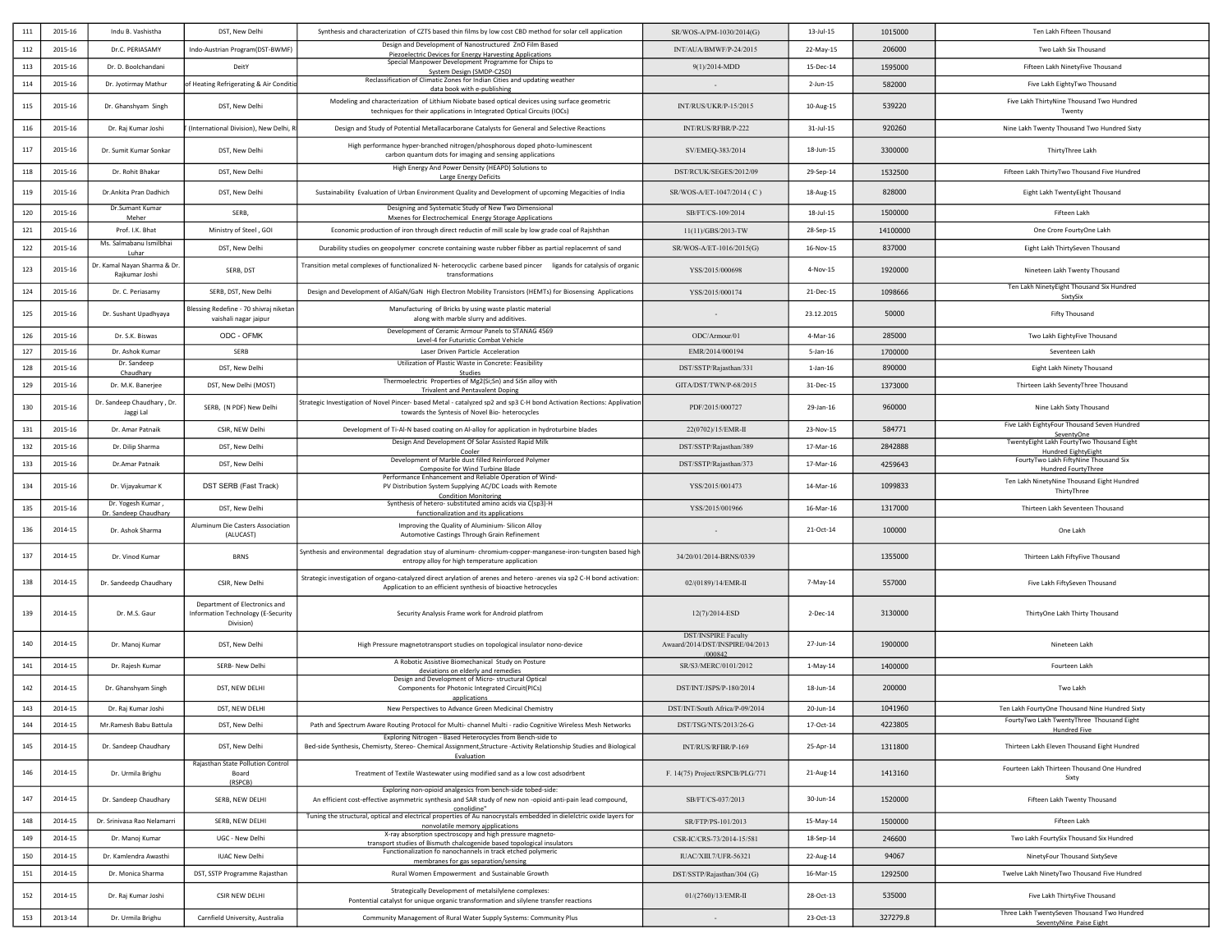| 111 | 2015-16 | Indu B. Vashistha                              | DST, New Delhi                                                                   | Synthesis and characterization of CZTS based thin films by low cost CBD method for solar cell application                                                                                                            | SR/WOS-A/PM-1030/2014(G)                                                 | $13$ -Jul- $15$ | 1015000  | Ten Lakh Fifteen Thousand                                              |
|-----|---------|------------------------------------------------|----------------------------------------------------------------------------------|----------------------------------------------------------------------------------------------------------------------------------------------------------------------------------------------------------------------|--------------------------------------------------------------------------|-----------------|----------|------------------------------------------------------------------------|
| 112 | 2015-16 | Dr.C. PERIASAMY                                | Indo-Austrian Program(DST-BWMF)                                                  | Design and Development of Nanostructured ZnO Film Based<br>Piezoelectric Devices for Energy Harvesting Applications                                                                                                  | INT/AUA/BMWF/P-24/2015                                                   | 22-May-15       | 206000   | Two Lakh Six Thousand                                                  |
| 113 | 2015-16 | Dr. D. Boolchandani                            | DeitY                                                                            | Special Manpower Development Programme for Chips to<br>System Design (SMDP-C2SD)                                                                                                                                     | 9(1)/2014-MDD                                                            | 15-Dec-14       | 1595000  | Fifteen Lakh NinetyFive Thousand                                       |
| 114 | 2015-16 | Dr. Jyotirmay Mathur                           | of Heating Refrigerating & Air Condition                                         | Reclassification of Climatic Zones for Indian Cities and updating weather<br>data book with e-publishing                                                                                                             |                                                                          | 2-Jun-15        | 582000   | Five Lakh EightyTwo Thousand                                           |
| 115 | 2015-16 | Dr. Ghanshyam Singh                            | DST, New Delhi                                                                   | Modeling and characterization of Lithium Niobate based optical devices using surface geometric<br>techniques for their applications in Integrated Optical Circuits (IOCs)                                            | INT/RUS/UKR/P-15/2015                                                    | 10-Aug-15       | 539220   | Five Lakh ThirtyNine Thousand Two Hundred<br>Twenty                    |
| 116 | 2015-16 | Dr. Raj Kumar Joshi                            | (International Division), New Delhi, F                                           | Design and Study of Potential Metallacarborane Catalysts for General and Selective Reactions                                                                                                                         | INT/RUS/RFBR/P-222                                                       | $31$ -Jul-15    | 920260   | Nine Lakh Twenty Thousand Two Hundred Sixty                            |
| 117 | 2015-16 | Dr. Sumit Kumar Sonkar                         | DST, New Delhi                                                                   | High performance hyper-branched nitrogen/phosphorous doped photo-luminescent<br>carbon quantum dots for imaging and sensing applications                                                                             | SV/EMEQ-383/2014                                                         | 18-Jun-15       | 3300000  | ThirtyThree Lakh                                                       |
| 118 | 2015-16 | Dr. Rohit Bhakar                               | DST, New Delhi                                                                   | High Energy And Power Density (HEAPD) Solutions to<br>Large Energy Deficits                                                                                                                                          | DST/RCUK/SEGES/2012/09                                                   | 29-Sep-14       | 1532500  | Fifteen Lakh ThirtyTwo Thousand Five Hundred                           |
| 119 | 2015-16 | Dr. Ankita Pran Dadhich                        | DST, New Delhi                                                                   | Sustainability Evaluation of Urban Environment Quality and Development of upcoming Megacities of India                                                                                                               | SR/WOS-A/ET-1047/2014 (C)                                                | 18-Aug-15       | 828000   | Eight Lakh TwentyEight Thousand                                        |
| 120 | 2015-16 | Dr.Sumant Kumar<br>Meher                       | SERB.                                                                            | Designing and Systematic Study of New Two Dimensional<br>Mxenes for Electrochemical Energy Storage Applications                                                                                                      | SB/FT/CS-109/2014                                                        | 18-Jul-15       | 1500000  | Fifteen Lakh                                                           |
| 121 | 2015-16 | Prof. I.K. Bhat                                | Ministry of Steel, GOI                                                           | Economic production of iron through direct reductin of mill scale by low grade coal of Rajshthan                                                                                                                     | 11(11)/GBS/2013-TW                                                       | 28-Sep-15       | 14100000 | One Crore FourtyOne Lakh                                               |
| 122 | 2015-16 | Ms. Salmabanu Ismilbhai<br>Luhar               | DST, New Delhi                                                                   | Durability studies on geopolymer concrete containing waste rubber fibber as partial replacemnt of sand                                                                                                               | SR/WOS-A/ET-1016/2015(G)                                                 | 16-Nov-15       | 837000   | Eight Lakh ThirtySeven Thousand                                        |
| 123 | 2015-16 | Dr. Kamal Nayan Sharma & Dr.<br>Raikumar Joshi | SERB, DST                                                                        | Transition metal complexes of functionalized N- heterocyclic carbene based pincer ligands for catalysis of organic<br>transformations                                                                                | YSS/2015/000698                                                          | 4-Nov-15        | 1920000  | Nineteen Lakh Twenty Thousand                                          |
| 124 | 2015-16 | Dr. C. Periasamy                               | SERB, DST, New Delhi                                                             | Design and Development of AlGaN/GaN High Electron Mobility Transistors (HEMTs) for Biosensing Applications                                                                                                           | YSS/2015/000174                                                          | 21-Dec-15       | 1098666  | Ten Lakh NinetyEight Thousand Six Hundred<br>SixtySix                  |
| 125 | 2015-16 | Dr. Sushant Upadhyaya                          | Blessing Redefine - 70 shivraj niketar<br>vaishali nagar jaipur                  | Manufacturing of Bricks by using waste plastic material<br>along with marble slurry and additives.                                                                                                                   |                                                                          | 23.12.2015      | 50000    | Fifty Thousand                                                         |
| 126 | 2015-16 | Dr. S.K. Biswas                                | ODC - OFMK                                                                       | Development of Ceramic Armour Panels to STANAG 4569                                                                                                                                                                  | ODC/Armour/01                                                            | 4-Mar-16        | 285000   | Two Lakh EightyFive Thousand                                           |
| 127 | 2015-16 | Dr. Ashok Kumar                                | SERB                                                                             | Level-4 for Futuristic Combat Vehicle<br>Laser Driven Particle Acceleration                                                                                                                                          | EMR/2014/000194                                                          | 5-Jan-16        | 1700000  | Seventeen Lakh                                                         |
| 128 | 2015-16 | Dr. Sandeep                                    | DST. New Delhi                                                                   | Utilization of Plastic Waste in Concrete: Feasibility                                                                                                                                                                | DST/SSTP/Rajasthan/331                                                   | $1$ -Jan- $16$  | 890000   | Eight Lakh Ninety Thousand                                             |
| 129 | 2015-16 | Chaudhary<br>Dr. M.K. Banerjee                 | DST, New Delhi (MOST)                                                            | Studies<br>Thermoelectric Properties of Mg2(Si;Sn) and SiSn alloy with                                                                                                                                               | GITA/DST/TWN/P-68/2015                                                   | 31-Dec-15       | 1373000  | Thirteen Lakh SeventyThree Thousand                                    |
| 130 | 2015-16 | Dr. Sandeep Chaudhary, Dr.<br>Jaggi Lal        | SERB, (N PDF) New Delhi                                                          | <b>Trivalent and Pentavalent Doping</b><br>Strategic Investigation of Novel Pincer- based Metal - catalyzed sp2 and sp3 C-H bond Activation Rections: Applivation<br>towards the Syntesis of Novel Bio- heterocycles | PDF/2015/000727                                                          | 29-Jan-16       | 960000   | Nine Lakh Sixty Thousand                                               |
| 131 | 2015-16 | Dr. Amar Patnaik                               | CSIR, NEW Delhi                                                                  | Development of Ti-Al-N based coating on Al-alloy for application in hydroturbine blades                                                                                                                              | 22(0702)/15/EMR-II                                                       | 23-Nov-15       | 584771   | Five Lakh EightyFour Thousand Seven Hundred                            |
| 132 | 2015-16 | Dr. Dilip Sharma                               | DST, New Delhi                                                                   | Design And Development Of Solar Assisted Rapid Milk                                                                                                                                                                  | DST/SSTP/Rajasthan/389                                                   | 17-Mar-16       | 2842888  | SeventyOne<br>TwentyEight Lakh FourtyTwo Thousand Eight                |
|     |         |                                                |                                                                                  | Cooler<br>Development of Marble dust filled Reinforced Polymer                                                                                                                                                       | DST/SSTP/Rajasthan/373                                                   |                 |          | <b>Hundred EightyEight</b><br>FourtyTwo Lakh FiftyNine Thousand Six    |
| 133 | 2015-16 | Dr.Amar Patnaik                                | DST, New Delhi                                                                   | Composite for Wind Turbine Blade<br>Performance Enhancement and Reliable Operation of Wind-                                                                                                                          |                                                                          | 17-Mar-16       | 4259643  | Hundred FourtyThree                                                    |
| 134 | 2015-16 | Dr. Vijayakumar K                              | DST SERB (Fast Track)                                                            | PV Distribution System Supplying AC/DC Loads with Remote<br><b>Condition Monitoring</b>                                                                                                                              | YSS/2015/001473                                                          | 14-Mar-16       | 1099833  | Ten Lakh NinetyNine Thousand Eight Hundred<br>ThirtyThree              |
| 135 | 2015-16 | Dr. Yogesh Kumar<br>Dr. Sandeep Chaudhary      | DST, New Delhi                                                                   | Synthesis of hetero- substituted amino acids via C(sp3)-H<br>functionalization and its applications                                                                                                                  | YSS/2015/001966                                                          | 16-Mar-16       | 1317000  | Thirteen Lakh Seventeen Thousand                                       |
| 136 | 2014-15 | Dr. Ashok Sharma                               | Aluminum Die Casters Association<br>(ALUCAST)                                    | Improving the Quality of Aluminium-Silicon Alloy<br>Automotive Castings Through Grain Refinement                                                                                                                     |                                                                          | 21-Oct-14       | 100000   | One Lakh                                                               |
| 137 | 2014-15 | Dr. Vinod Kumar                                | <b>BRNS</b>                                                                      | Synthesis and environmental degradation stuy of aluminum- chromium-copper-manganese-iron-tungsten based high<br>entropy alloy for high temperature application                                                       | 34/20/01/2014-BRNS/0339                                                  |                 | 1355000  | Thirteen Lakh FiftyFive Thousand                                       |
| 138 | 2014-15 | Dr. Sandeedp Chaudhary                         | CSIR, New Delhi                                                                  | Strategic investigation of organo-catalyzed direct arylation of arenes and hetero-arenes via sp2 C-H bond activation:<br>Application to an efficient synthesis of bioactive hetrocycles                              | 02/(0189)/14/EMR-II                                                      | 7-May-14        | 557000   | Five Lakh FiftySeven Thousand                                          |
| 139 | 2014-15 | Dr. M.S. Gaur                                  | Department of Electronics and<br>Information Technology (E-Security<br>Division) | Security Analysis Frame work for Android platfrom                                                                                                                                                                    | 12(7)/2014-ESD                                                           | 2-Dec-14        | 3130000  | ThirtyOne Lakh Thirty Thousand                                         |
| 140 | 2014-15 | Dr. Manoj Kumar                                | DST, New Delhi                                                                   | High Pressure magnetotransport studies on topological insulator nono-device                                                                                                                                          | <b>DST/INSPIRE Faculty</b><br>Awaard/2014/DST/INSPIRE/04/2013<br>/000842 | 27-Jun-14       | 1900000  | Nineteen Lakh                                                          |
| 141 | 2014-15 | Dr. Rajesh Kumar                               | SERB- New Delhi                                                                  | A Robotic Assistive Biomechanical Study on Posture<br>deviations on elderly and remedies                                                                                                                             | SR/S3/MERC/0101/2012                                                     | 1-May-14        | 1400000  | Fourteen Lakh                                                          |
| 142 | 2014-15 | Dr. Ghanshyam Singh                            | DST, NEW DELHI                                                                   | Design and Development of Micro- structural Optical<br>Components for Photonic Integrated Circuit(PICs)<br>applications                                                                                              | DST/INT/JSPS/P-180/2014                                                  | 18-Jun-14       | 200000   | Two Lakh                                                               |
| 143 | 2014-15 | Dr. Raj Kumar Joshi                            | DST. NEW DELHI                                                                   | New Perspectives to Advance Green Medicinal Chemistry                                                                                                                                                                | DST/INT/South Africa/P-09/2014                                           | 20-Jun-14       | 1041960  | Ten Lakh FourtyOne Thousand Nine Hundred Sixty                         |
| 144 | 2014-15 | Mr.Ramesh Babu Battula                         | DST, New Delhi                                                                   | Path and Spectrum Aware Routing Protocol for Multi-channel Multi - radio Cognitive Wireless Mesh Networks                                                                                                            | DST/TSG/NTS/2013/26-G                                                    | 17-Oct-14       | 4223805  | FourtyTwo Lakh TwentyThree Thousand Eight<br>Hundred Five              |
| 145 | 2014-15 | Dr. Sandeep Chaudhary                          | DST, New Delhi                                                                   | Exploring Nitrogen - Based Heterocycles from Bench-side to<br>Bed-side Synthesis, Chemisrty, Stereo- Chemical Assignment, Structure -Activity Relationship Studies and Biological                                    | INT/RUS/RFBR/P-169                                                       | 25-Apr-14       | 1311800  | Thirteen Lakh Eleven Thousand Eight Hundred                            |
| 146 | 2014-15 | Dr. Urmila Brighu                              | Rajasthan State Pollution Control<br>Board<br>(RSPCB)                            | Evaluation<br>Treatment of Textile Wastewater using modified sand as a low cost adsodrbent                                                                                                                           | F. 14(75) Project/RSPCB/PLG/771                                          | 21-Aug-14       | 1413160  | Fourteen Lakh Thirteen Thousand One Hundred<br>Sixty                   |
| 147 | 2014-15 | Dr. Sandeep Chaudhary                          | SERB, NEW DELHI                                                                  | Exploring non-opioid analgesics from bench-side tobed-side:<br>An efficient cost-effective asymmetric synthesis and SAR study of new non -opioid anti-pain lead compound,<br>conolidine"                             | SB/FT/CS-037/2013                                                        | 30-Jun-14       | 1520000  | Fifteen Lakh Twenty Thousand                                           |
| 148 | 2014-15 | Dr. Srinivasa Rao Nelamarri                    | SERB, NEW DELHI                                                                  | Tuning the structural, optical and electrical properties of Au nanocrystals embedded in dielelctric oxide layers for<br>nonvolatile memory ajpplications                                                             | SR/FTP/PS-101/2013                                                       | 15-May-14       | 1500000  | Fifteen Lakh                                                           |
| 149 | 2014-15 | Dr. Manoj Kumar                                | UGC - New Delhi                                                                  | X-ray absorption spectroscopy and high pressure magneto-<br>transport studies of Bismuth chalcogenide based topological insulators                                                                                   | CSR-IC/CRS-73/2014-15/581                                                | 18-Sep-14       | 246600   | Two Lakh FourtySix Thousand Six Hundred                                |
| 150 | 2014-15 | Dr. Kamlendra Awasthi                          | <b>IUAC New Delhi</b>                                                            | Functionalization fo nanochannels in track etched polymeric                                                                                                                                                          | IUAC/XIII.7/UFR-56321                                                    | 22-Aug-14       | 94067    | NinetyFour Thousand SixtySeve                                          |
| 151 | 2014-15 | Dr. Monica Sharma                              | DST, SSTP Programme Rajasthan                                                    | membranes for gas separation/sensing<br>Rural Women Empowerment and Sustainable Growth                                                                                                                               | DST/SSTP/Rajasthan/304 (G)                                               | 16-Mar-15       | 1292500  | Twelve Lakh NinetyTwo Thousand Five Hundred                            |
| 152 | 2014-15 | Dr. Raj Kumar Joshi                            | CSIR NEW DELHI                                                                   | Strategically Development of metalsilylene complexes:<br>Pontential catalyst for unique organic transformation and silylene transfer reactions                                                                       | 01/(2760)/13/EMR-II                                                      | 28-Oct-13       | 535000   | Five Lakh ThirtyFive Thousand                                          |
| 153 | 2013-14 | Dr. Urmila Brighu                              | Carnfield University, Australia                                                  | Community Management of Rural Water Supply Systems: Community Plus                                                                                                                                                   | $\sim$                                                                   | 23-Oct-13       | 327279.8 | Three Lakh TwentySeven Thousand Two Hundred<br>SeventyNine Paise Eight |